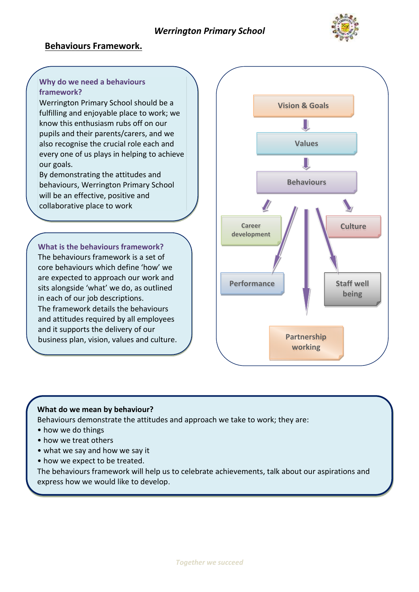

## **Behaviours Framework.**

#### **Why do we need a behaviours framework?**

Werrington Primary School should be a fulfilling and enjoyable place to work; we know this enthusiasm rubs off on our pupils and their parents/carers, and we also recognise the crucial role each and every one of us plays in helping to achieve our goals.

By demonstrating the attitudes and behaviours, Werrington Primary School will be an effective, positive and collaborative place to work

**What is the behaviours framework?** The behaviours framework is a set of core behaviours which define 'how' we are expected to approach our work and sits alongside 'what' we do, as outlined in each of our job descriptions. The framework details the behaviours and attitudes required by all employees and it supports the delivery of our business plan, vision, values and culture.



#### **What do we mean by behaviour?**

Behaviours demonstrate the attitudes and approach we take to work; they are:

- how we do things
- how we treat others
- what we say and how we say it
- how we expect to be treated.

The behaviours framework will help us to celebrate achievements, talk about our aspirations and express how we would like to develop.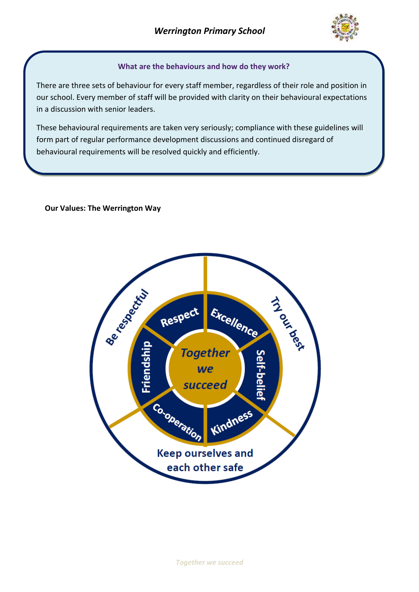

#### **What are the behaviours and how do they work?**

There are three sets of behaviour for every staff member, regardless of their role and position in our school. Every member of staff will be provided with clarity on their behavioural expectations in a discussion with senior leaders.

These behavioural requirements are taken very seriously; compliance with these guidelines will form part of regular performance development discussions and continued disregard of behavioural requirements will be resolved quickly and efficiently.

#### **Our Values: The Werrington Way**

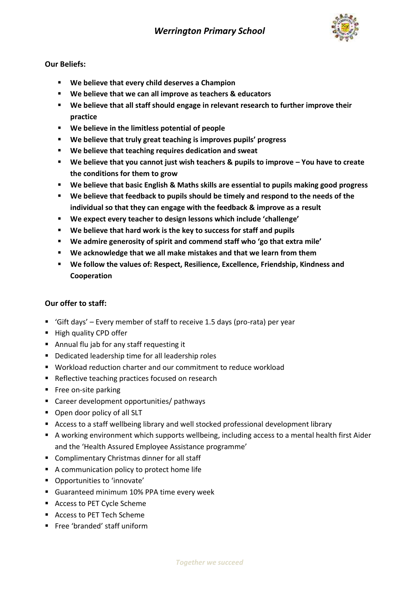

#### **Our Beliefs:**

- **We believe that every child deserves a Champion**
- **We believe that we can all improve as teachers & educators**
- **We believe that all staff should engage in relevant research to further improve their practice**
- **We believe in the limitless potential of people**
- **We believe that truly great teaching is improves pupils' progress**
- **We believe that teaching requires dedication and sweat**
- **We believe that you cannot just wish teachers & pupils to improve – You have to create the conditions for them to grow**
- **We believe that basic English & Maths skills are essential to pupils making good progress**
- **We believe that feedback to pupils should be timely and respond to the needs of the individual so that they can engage with the feedback & improve as a result**
- **We expect every teacher to design lessons which include 'challenge'**
- **We believe that hard work is the key to success for staff and pupils**
- **We admire generosity of spirit and commend staff who 'go that extra mile'**
- **We acknowledge that we all make mistakes and that we learn from them**
- **We follow the values of: Respect, Resilience, Excellence, Friendship, Kindness and Cooperation**

#### **Our offer to staff:**

- 'Gift days' Every member of staff to receive 1.5 days (pro-rata) per year
- **High quality CPD offer**
- Annual flu jab for any staff requesting it
- Dedicated leadership time for all leadership roles
- Workload reduction charter and our commitment to reduce workload
- Reflective teaching practices focused on research
- **Filter** Free on-site parking
- Career development opportunities/ pathways
- Open door policy of all SLT
- Access to a staff wellbeing library and well stocked professional development library
- A working environment which supports wellbeing, including access to a mental health first Aider and the 'Health Assured Employee Assistance programme'
- Complimentary Christmas dinner for all staff
- A communication policy to protect home life
- Opportunities to 'innovate'
- Guaranteed minimum 10% PPA time every week
- Access to PET Cycle Scheme
- Access to PET Tech Scheme
- **Free 'branded' staff uniform**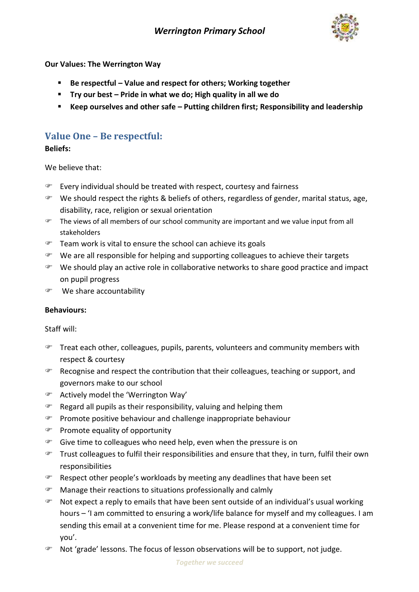

**Our Values: The Werrington Way**

- **Be respectful Value and respect for others: Working together**
- **Try our best Pride in what we do; High quality in all we do**
- **Keep ourselves and other safe – Putting children first; Responsibility and leadership**

# **Value One – Be respectful:**

### **Beliefs:**

We believe that:

- Every individual should be treated with respect, courtesy and fairness
- The Should respect the rights & beliefs of others, regardless of gender, marital status, age, disability, race, religion or sexual orientation
- The views of all members of our school community are important and we value input from all stakeholders
- Team work is vital to ensure the school can achieve its goals
- $\mathcal{F}$  We are all responsible for helping and supporting colleagues to achieve their targets
- We should play an active role in collaborative networks to share good practice and impact on pupil progress
- We share accountability

#### **Behaviours:**

#### Staff will:

- **Treat each other, colleagues, pupils, parents, volunteers and community members with** respect & courtesy
- Recognise and respect the contribution that their colleagues, teaching or support, and governors make to our school
- Actively model the 'Werrington Way'
- Regard all pupils as their responsibility, valuing and helping them
- Promote positive behaviour and challenge inappropriate behaviour
- Promote equality of opportunity
- Give time to colleagues who need help, even when the pressure is on
- Trust colleagues to fulfil their responsibilities and ensure that they, in turn, fulfil their own responsibilities
- Respect other people's workloads by meeting any deadlines that have been set
- Manage their reactions to situations professionally and calmly
- $\mathcal{F}$  Not expect a reply to emails that have been sent outside of an individual's usual working hours – 'I am committed to ensuring a work/life balance for myself and my colleagues. I am sending this email at a convenient time for me. Please respond at a convenient time for you'.
- Not 'grade' lessons. The focus of lesson observations will be to support, not judge.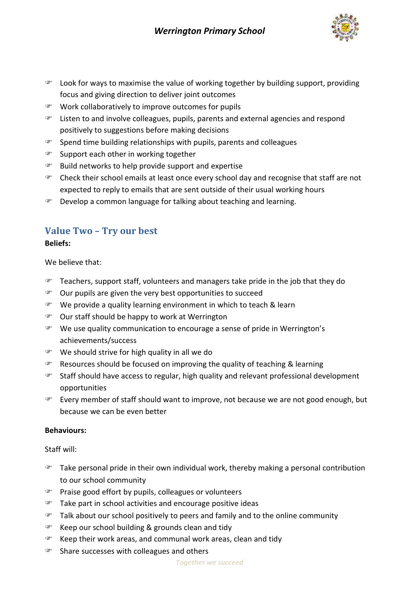

- Look for ways to maximise the value of working together by building support, providing focus and giving direction to deliver joint outcomes
- Work collaboratively to improve outcomes for pupils
- Listen to and involve colleagues, pupils, parents and external agencies and respond positively to suggestions before making decisions
- Spend time building relationships with pupils, parents and colleagues
- Support each other in working together
- Build networks to help provide support and expertise
- Check their school emails at least once every school day and recognise that staff are not expected to reply to emails that are sent outside of their usual working hours
- Develop a common language for talking about teaching and learning.

## **Value Two – Try our best**

#### **Beliefs:**

We believe that:

- $\mathcal{F}$  Teachers, support staff, volunteers and managers take pride in the job that they do
- Our pupils are given the very best opportunities to succeed
- We provide a quality learning environment in which to teach & learn
- Our staff should be happy to work at Werrington
- We use quality communication to encourage a sense of pride in Werrington's achievements/success
- We should strive for high quality in all we do
- Resources should be focused on improving the quality of teaching & learning
- Staff should have access to regular, high quality and relevant professional development opportunities
- Every member of staff should want to improve, not because we are not good enough, but because we can be even better

#### **Behaviours:**

Staff will:

- Take personal pride in their own individual work, thereby making a personal contribution to our school community
- Praise good effort by pupils, colleagues or volunteers
- Take part in school activities and encourage positive ideas
- Talk about our school positively to peers and family and to the online community
- $\circ$  Keep our school building & grounds clean and tidy
- Keep their work areas, and communal work areas, clean and tidy
- Share successes with colleagues and others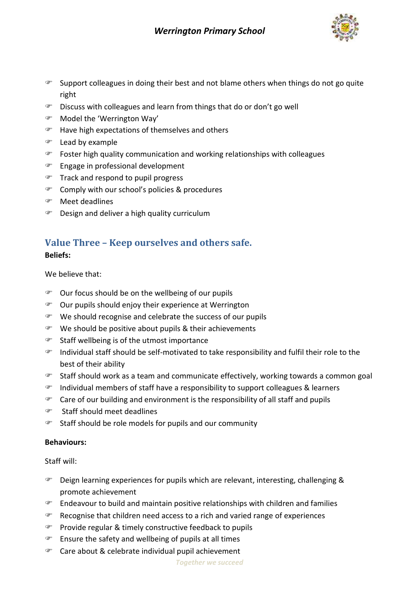

- $\epsilon$  Support colleagues in doing their best and not blame others when things do not go quite right
- Discuss with colleagues and learn from things that do or don't go well
- Model the 'Werrington Way'
- Have high expectations of themselves and others
- Lead by example
- $\mathcal{F}$  Foster high quality communication and working relationships with colleagues
- Engage in professional development
- Track and respond to pupil progress
- Comply with our school's policies & procedures
- Meet deadlines
- Design and deliver a high quality curriculum

### **Value Three – Keep ourselves and others safe. Beliefs:**

We believe that:

- Our focus should be on the wellbeing of our pupils
- Our pupils should enjoy their experience at Werrington
- We should recognise and celebrate the success of our pupils
- We should be positive about pupils & their achievements
- Staff wellbeing is of the utmost importance
- Individual staff should be self-motivated to take responsibility and fulfil their role to the best of their ability
- Staff should work as a team and communicate effectively, working towards a common goal
- Individual members of staff have a responsibility to support colleagues & learners
- Care of our building and environment is the responsibility of all staff and pupils
- Staff should meet deadlines
- Staff should be role models for pupils and our community

#### **Behaviours:**

#### Staff will:

- Deign learning experiences for pupils which are relevant, interesting, challenging & promote achievement
- Endeavour to build and maintain positive relationships with children and families
- Recognise that children need access to a rich and varied range of experiences
- Provide regular & timely constructive feedback to pupils
- Ensure the safety and wellbeing of pupils at all times
- Care about & celebrate individual pupil achievement